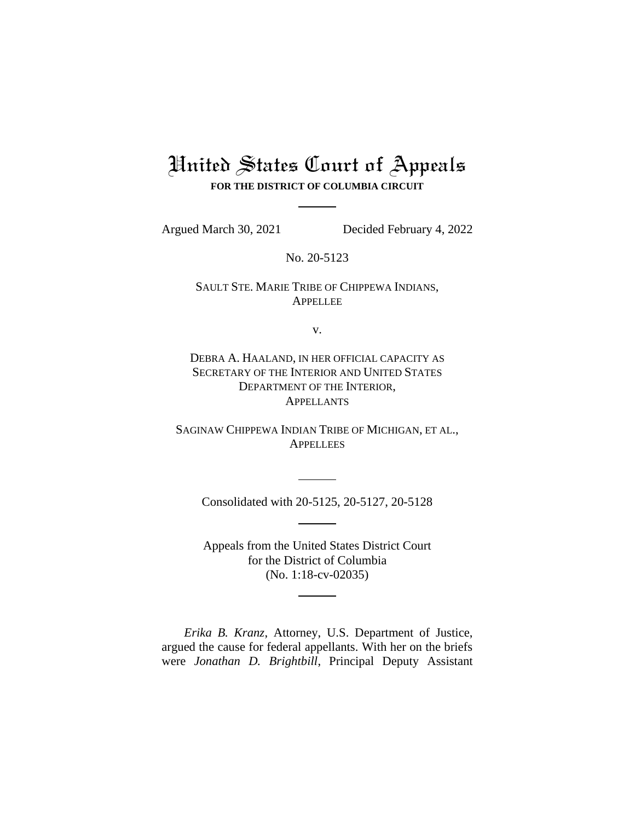# United States Court of Appeals **FOR THE DISTRICT OF COLUMBIA CIRCUIT**

Argued March 30, 2021 Decided February 4, 2022

No. 20-5123

SAULT STE. MARIE TRIBE OF CHIPPEWA INDIANS, APPELLEE

v.

DEBRA A. HAALAND, IN HER OFFICIAL CAPACITY AS SECRETARY OF THE INTERIOR AND UNITED STATES DEPARTMENT OF THE INTERIOR, **APPELLANTS** 

SAGINAW CHIPPEWA INDIAN TRIBE OF MICHIGAN, ET AL., **APPELLEES** 

Consolidated with 20-5125, 20-5127, 20-5128

Appeals from the United States District Court for the District of Columbia (No. 1:18-cv-02035)

*Erika B. Kranz*, Attorney, U.S. Department of Justice, argued the cause for federal appellants. With her on the briefs were *Jonathan D. Brightbill*, Principal Deputy Assistant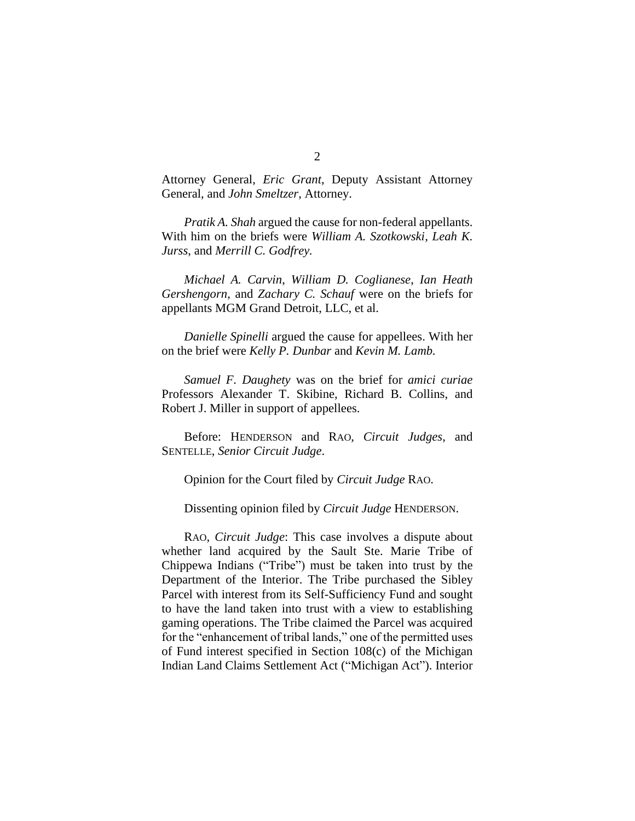Attorney General, *Eric Grant*, Deputy Assistant Attorney General, and *John Smeltzer*, Attorney.

*Pratik A. Shah* argued the cause for non-federal appellants. With him on the briefs were *William A. Szotkowski*, *Leah K. Jurss*, and *Merrill C. Godfrey.*

*Michael A. Carvin*, *William D. Coglianese*, *Ian Heath Gershengorn*, and *Zachary C. Schauf* were on the briefs for appellants MGM Grand Detroit, LLC, et al.

*Danielle Spinelli* argued the cause for appellees. With her on the brief were *Kelly P. Dunbar* and *Kevin M. Lamb.*

*Samuel F. Daughety* was on the brief for *amici curiae* Professors Alexander T. Skibine, Richard B. Collins, and Robert J. Miller in support of appellees.

Before: HENDERSON and RAO, *Circuit Judges*, and SENTELLE, *Senior Circuit Judge*.

Opinion for the Court filed by *Circuit Judge* RAO.

Dissenting opinion filed by *Circuit Judge* HENDERSON.

RAO, *Circuit Judge*: This case involves a dispute about whether land acquired by the Sault Ste. Marie Tribe of Chippewa Indians ("Tribe") must be taken into trust by the Department of the Interior. The Tribe purchased the Sibley Parcel with interest from its Self-Sufficiency Fund and sought to have the land taken into trust with a view to establishing gaming operations. The Tribe claimed the Parcel was acquired for the "enhancement of tribal lands," one of the permitted uses of Fund interest specified in Section 108(c) of the Michigan Indian Land Claims Settlement Act ("Michigan Act"). Interior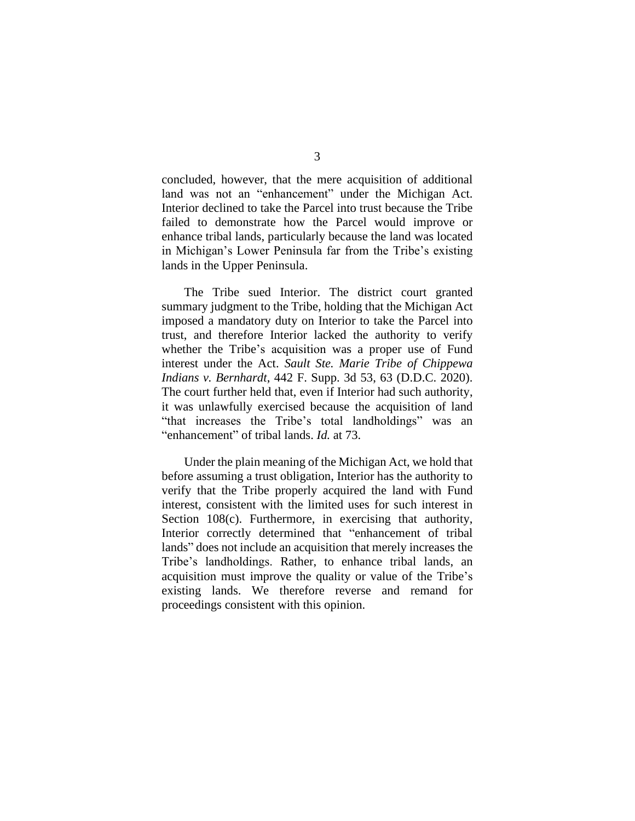concluded, however, that the mere acquisition of additional land was not an "enhancement" under the Michigan Act. Interior declined to take the Parcel into trust because the Tribe failed to demonstrate how the Parcel would improve or enhance tribal lands, particularly because the land was located in Michigan's Lower Peninsula far from the Tribe's existing lands in the Upper Peninsula.

The Tribe sued Interior. The district court granted summary judgment to the Tribe, holding that the Michigan Act imposed a mandatory duty on Interior to take the Parcel into trust, and therefore Interior lacked the authority to verify whether the Tribe's acquisition was a proper use of Fund interest under the Act. *Sault Ste. Marie Tribe of Chippewa Indians v. Bernhardt*, 442 F. Supp. 3d 53, 63 (D.D.C. 2020). The court further held that, even if Interior had such authority, it was unlawfully exercised because the acquisition of land "that increases the Tribe's total landholdings" was an "enhancement" of tribal lands. *Id.* at 73.

Under the plain meaning of the Michigan Act, we hold that before assuming a trust obligation, Interior has the authority to verify that the Tribe properly acquired the land with Fund interest, consistent with the limited uses for such interest in Section 108(c). Furthermore, in exercising that authority, Interior correctly determined that "enhancement of tribal lands" does not include an acquisition that merely increases the Tribe's landholdings. Rather, to enhance tribal lands, an acquisition must improve the quality or value of the Tribe's existing lands. We therefore reverse and remand for proceedings consistent with this opinion.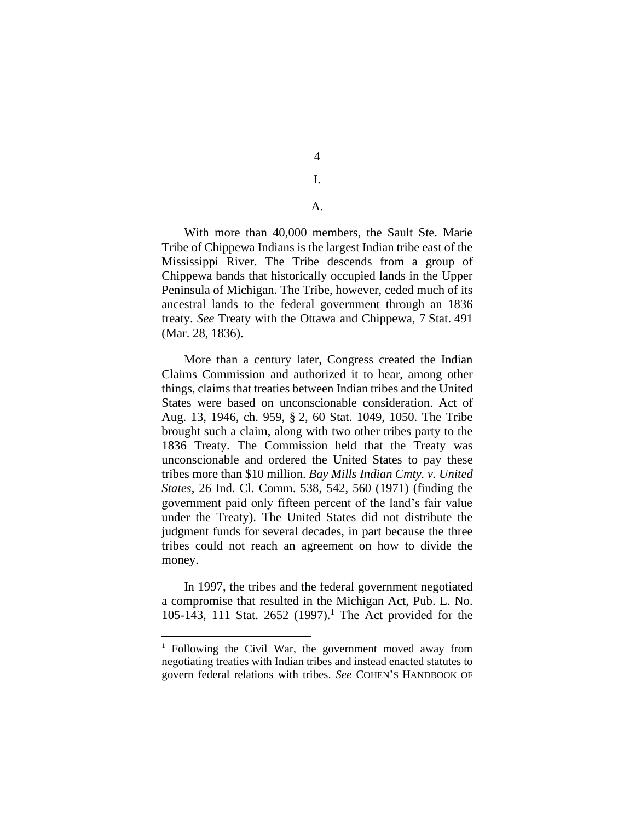4 I.

A.

With more than 40,000 members, the Sault Ste. Marie Tribe of Chippewa Indians is the largest Indian tribe east of the Mississippi River. The Tribe descends from a group of Chippewa bands that historically occupied lands in the Upper Peninsula of Michigan. The Tribe, however, ceded much of its ancestral lands to the federal government through an 1836 treaty. *See* Treaty with the Ottawa and Chippewa, 7 Stat. 491 (Mar. 28, 1836).

More than a century later, Congress created the Indian Claims Commission and authorized it to hear, among other things, claims that treaties between Indian tribes and the United States were based on unconscionable consideration. Act of Aug. 13, 1946, ch. 959, § 2, 60 Stat. 1049, 1050. The Tribe brought such a claim, along with two other tribes party to the 1836 Treaty. The Commission held that the Treaty was unconscionable and ordered the United States to pay these tribes more than \$10 million. *Bay Mills Indian Cmty. v. United States*, 26 Ind. Cl. Comm. 538, 542, 560 (1971) (finding the government paid only fifteen percent of the land's fair value under the Treaty). The United States did not distribute the judgment funds for several decades, in part because the three tribes could not reach an agreement on how to divide the money.

In 1997, the tribes and the federal government negotiated a compromise that resulted in the Michigan Act, Pub. L. No. 105-143, 111 Stat. 2652 (1997). <sup>1</sup> The Act provided for the

<sup>1</sup> Following the Civil War, the government moved away from negotiating treaties with Indian tribes and instead enacted statutes to govern federal relations with tribes. *See* COHEN'S HANDBOOK OF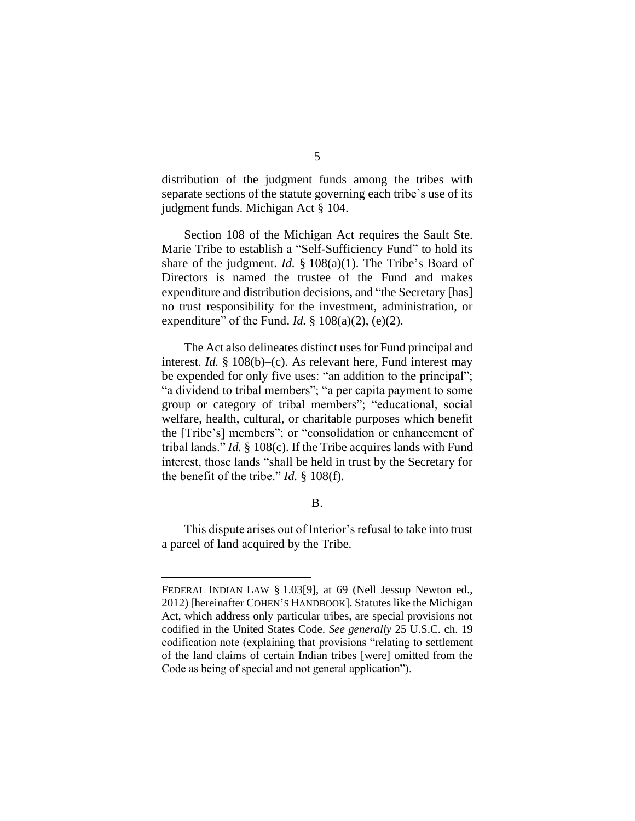distribution of the judgment funds among the tribes with separate sections of the statute governing each tribe's use of its judgment funds. Michigan Act § 104.

Section 108 of the Michigan Act requires the Sault Ste. Marie Tribe to establish a "Self-Sufficiency Fund" to hold its share of the judgment. *Id.* § 108(a)(1). The Tribe's Board of Directors is named the trustee of the Fund and makes expenditure and distribution decisions, and "the Secretary [has] no trust responsibility for the investment, administration, or expenditure" of the Fund. *Id.*  $\S$  108(a)(2), (e)(2).

The Act also delineates distinct uses for Fund principal and interest. *Id.* § 108(b)–(c). As relevant here, Fund interest may be expended for only five uses: "an addition to the principal"; "a dividend to tribal members"; "a per capita payment to some group or category of tribal members"; "educational, social welfare, health, cultural, or charitable purposes which benefit the [Tribe's] members"; or "consolidation or enhancement of tribal lands." *Id.* § 108(c). If the Tribe acquires lands with Fund interest, those lands "shall be held in trust by the Secretary for the benefit of the tribe." *Id.* § 108(f).

# B.

This dispute arises out of Interior's refusal to take into trust a parcel of land acquired by the Tribe.

FEDERAL INDIAN LAW § 1.03[9], at 69 (Nell Jessup Newton ed., 2012) [hereinafter COHEN'S HANDBOOK]. Statutes like the Michigan Act, which address only particular tribes, are special provisions not codified in the United States Code. *See generally* 25 U.S.C. ch. 19 codification note (explaining that provisions "relating to settlement of the land claims of certain Indian tribes [were] omitted from the Code as being of special and not general application").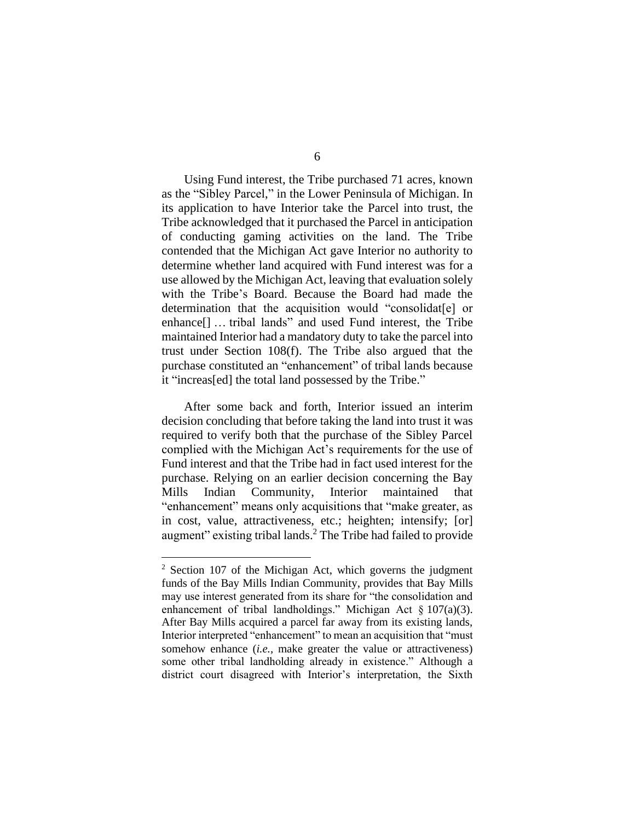Using Fund interest, the Tribe purchased 71 acres, known as the "Sibley Parcel," in the Lower Peninsula of Michigan. In its application to have Interior take the Parcel into trust, the Tribe acknowledged that it purchased the Parcel in anticipation of conducting gaming activities on the land. The Tribe contended that the Michigan Act gave Interior no authority to determine whether land acquired with Fund interest was for a use allowed by the Michigan Act, leaving that evaluation solely with the Tribe's Board. Because the Board had made the determination that the acquisition would "consolidat[e] or enhance[] … tribal lands" and used Fund interest, the Tribe maintained Interior had a mandatory duty to take the parcel into trust under Section 108(f). The Tribe also argued that the purchase constituted an "enhancement" of tribal lands because it "increas[ed] the total land possessed by the Tribe."

After some back and forth, Interior issued an interim decision concluding that before taking the land into trust it was required to verify both that the purchase of the Sibley Parcel complied with the Michigan Act's requirements for the use of Fund interest and that the Tribe had in fact used interest for the purchase. Relying on an earlier decision concerning the Bay Mills Indian Community, Interior maintained that "enhancement" means only acquisitions that "make greater, as in cost, value, attractiveness, etc.; heighten; intensify; [or] augment" existing tribal lands. <sup>2</sup> The Tribe had failed to provide

<sup>&</sup>lt;sup>2</sup> Section 107 of the Michigan Act, which governs the judgment funds of the Bay Mills Indian Community, provides that Bay Mills may use interest generated from its share for "the consolidation and enhancement of tribal landholdings." Michigan Act § 107(a)(3). After Bay Mills acquired a parcel far away from its existing lands, Interior interpreted "enhancement" to mean an acquisition that "must somehow enhance (*i.e.*, make greater the value or attractiveness) some other tribal landholding already in existence." Although a district court disagreed with Interior's interpretation, the Sixth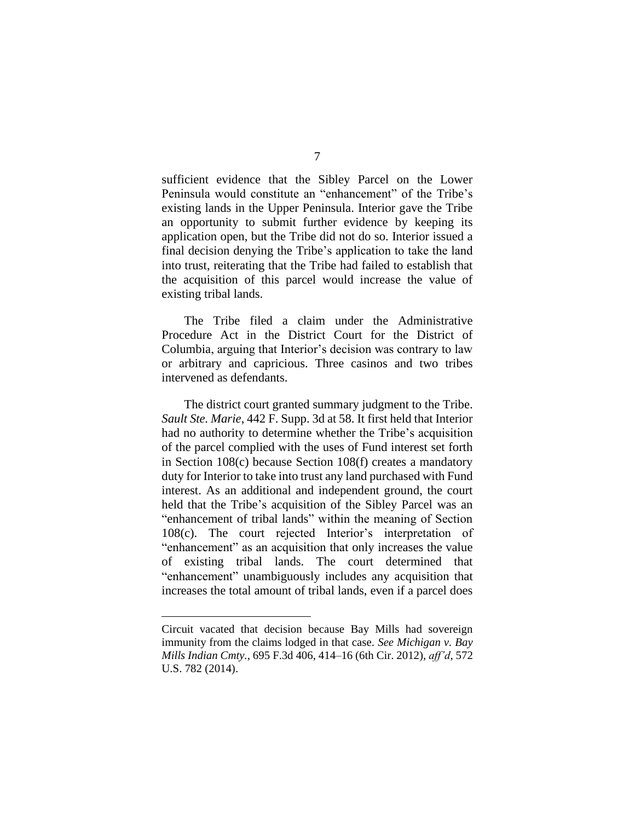sufficient evidence that the Sibley Parcel on the Lower Peninsula would constitute an "enhancement" of the Tribe's existing lands in the Upper Peninsula. Interior gave the Tribe an opportunity to submit further evidence by keeping its application open, but the Tribe did not do so. Interior issued a final decision denying the Tribe's application to take the land into trust, reiterating that the Tribe had failed to establish that the acquisition of this parcel would increase the value of existing tribal lands.

The Tribe filed a claim under the Administrative Procedure Act in the District Court for the District of Columbia, arguing that Interior's decision was contrary to law or arbitrary and capricious. Three casinos and two tribes intervened as defendants.

The district court granted summary judgment to the Tribe. *Sault Ste. Marie*, 442 F. Supp. 3d at 58. It first held that Interior had no authority to determine whether the Tribe's acquisition of the parcel complied with the uses of Fund interest set forth in Section 108(c) because Section 108(f) creates a mandatory duty for Interior to take into trust any land purchased with Fund interest. As an additional and independent ground, the court held that the Tribe's acquisition of the Sibley Parcel was an "enhancement of tribal lands" within the meaning of Section 108(c). The court rejected Interior's interpretation of "enhancement" as an acquisition that only increases the value of existing tribal lands. The court determined that "enhancement" unambiguously includes any acquisition that increases the total amount of tribal lands, even if a parcel does

Circuit vacated that decision because Bay Mills had sovereign immunity from the claims lodged in that case. *See Michigan v. Bay Mills Indian Cmty.*, 695 F.3d 406, 414–16 (6th Cir. 2012), *aff'd*, 572 U.S. 782 (2014).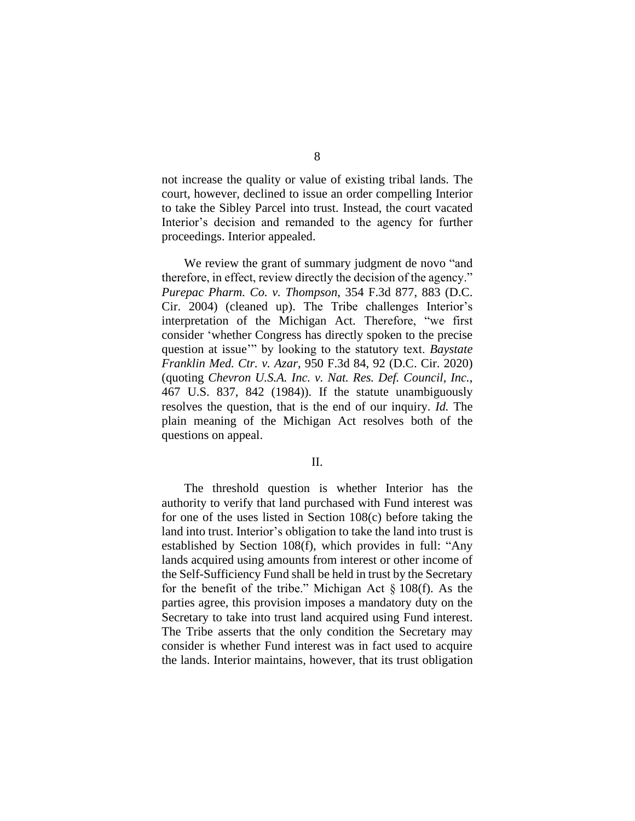not increase the quality or value of existing tribal lands. The court, however, declined to issue an order compelling Interior to take the Sibley Parcel into trust. Instead, the court vacated Interior's decision and remanded to the agency for further proceedings. Interior appealed.

We review the grant of summary judgment de novo "and therefore, in effect, review directly the decision of the agency." *Purepac Pharm. Co. v. Thompson*, 354 F.3d 877, 883 (D.C. Cir. 2004) (cleaned up). The Tribe challenges Interior's interpretation of the Michigan Act. Therefore, "we first consider 'whether Congress has directly spoken to the precise question at issue'" by looking to the statutory text. *Baystate Franklin Med. Ctr. v. Azar*, 950 F.3d 84, 92 (D.C. Cir. 2020) (quoting *Chevron U.S.A. Inc. v. Nat. Res. Def. Council, Inc.*, 467 U.S. 837, 842 (1984)). If the statute unambiguously resolves the question, that is the end of our inquiry. *Id.* The plain meaning of the Michigan Act resolves both of the questions on appeal.

## II.

The threshold question is whether Interior has the authority to verify that land purchased with Fund interest was for one of the uses listed in Section 108(c) before taking the land into trust. Interior's obligation to take the land into trust is established by Section 108(f), which provides in full: "Any lands acquired using amounts from interest or other income of the Self-Sufficiency Fund shall be held in trust by the Secretary for the benefit of the tribe." Michigan Act  $\S$  108(f). As the parties agree, this provision imposes a mandatory duty on the Secretary to take into trust land acquired using Fund interest. The Tribe asserts that the only condition the Secretary may consider is whether Fund interest was in fact used to acquire the lands. Interior maintains, however, that its trust obligation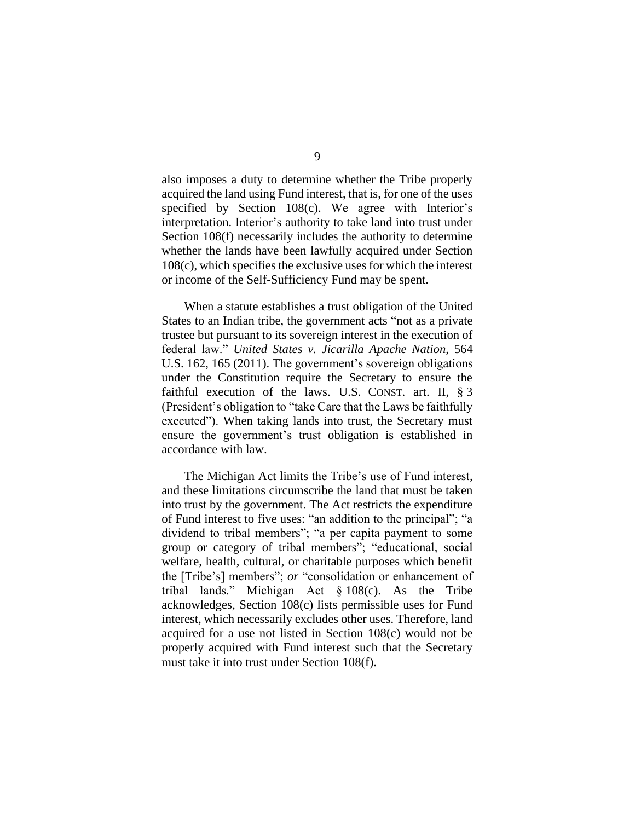also imposes a duty to determine whether the Tribe properly acquired the land using Fund interest, that is, for one of the uses specified by Section 108(c). We agree with Interior's interpretation. Interior's authority to take land into trust under Section 108(f) necessarily includes the authority to determine whether the lands have been lawfully acquired under Section 108(c), which specifies the exclusive uses for which the interest or income of the Self-Sufficiency Fund may be spent.

When a statute establishes a trust obligation of the United States to an Indian tribe, the government acts "not as a private trustee but pursuant to its sovereign interest in the execution of federal law." *United States v. Jicarilla Apache Nation*, 564 U.S. 162, 165 (2011). The government's sovereign obligations under the Constitution require the Secretary to ensure the faithful execution of the laws. U.S. CONST. art. II, § 3 (President's obligation to "take Care that the Laws be faithfully executed"). When taking lands into trust, the Secretary must ensure the government's trust obligation is established in accordance with law.

The Michigan Act limits the Tribe's use of Fund interest, and these limitations circumscribe the land that must be taken into trust by the government. The Act restricts the expenditure of Fund interest to five uses: "an addition to the principal"; "a dividend to tribal members"; "a per capita payment to some group or category of tribal members"; "educational, social welfare, health, cultural, or charitable purposes which benefit the [Tribe's] members"; *or* "consolidation or enhancement of tribal lands." Michigan Act § 108(c). As the Tribe acknowledges, Section 108(c) lists permissible uses for Fund interest, which necessarily excludes other uses. Therefore, land acquired for a use not listed in Section 108(c) would not be properly acquired with Fund interest such that the Secretary must take it into trust under Section 108(f).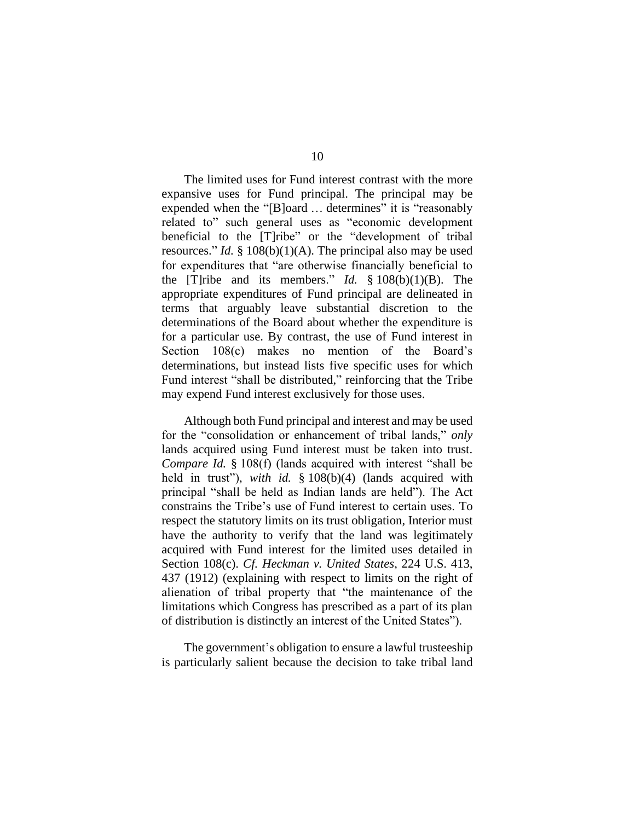The limited uses for Fund interest contrast with the more expansive uses for Fund principal. The principal may be expended when the "[B]oard ... determines" it is "reasonably related to" such general uses as "economic development beneficial to the [T]ribe" or the "development of tribal resources." *Id.* § 108(b)(1)(A). The principal also may be used for expenditures that "are otherwise financially beneficial to the [T]ribe and its members." *Id.* § 108(b)(1)(B). The appropriate expenditures of Fund principal are delineated in terms that arguably leave substantial discretion to the determinations of the Board about whether the expenditure is for a particular use. By contrast, the use of Fund interest in Section 108(c) makes no mention of the Board's determinations, but instead lists five specific uses for which Fund interest "shall be distributed," reinforcing that the Tribe may expend Fund interest exclusively for those uses.

Although both Fund principal and interest and may be used for the "consolidation or enhancement of tribal lands," *only* lands acquired using Fund interest must be taken into trust. *Compare Id.* § 108(f) (lands acquired with interest "shall be held in trust"), *with id.* § 108(b)(4) (lands acquired with principal "shall be held as Indian lands are held"). The Act constrains the Tribe's use of Fund interest to certain uses. To respect the statutory limits on its trust obligation, Interior must have the authority to verify that the land was legitimately acquired with Fund interest for the limited uses detailed in Section 108(c). *Cf. Heckman v. United States*, 224 U.S. 413, 437 (1912) (explaining with respect to limits on the right of alienation of tribal property that "the maintenance of the limitations which Congress has prescribed as a part of its plan of distribution is distinctly an interest of the United States").

The government's obligation to ensure a lawful trusteeship is particularly salient because the decision to take tribal land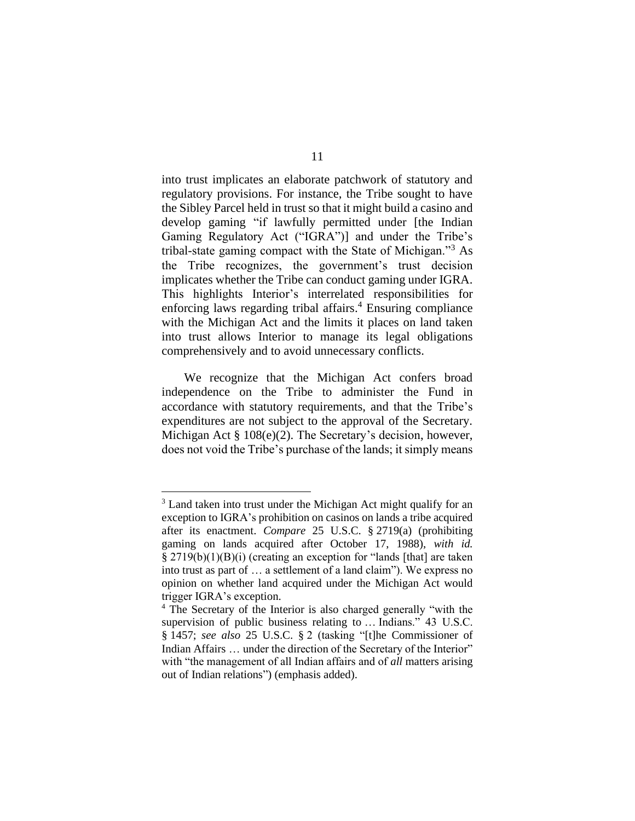into trust implicates an elaborate patchwork of statutory and regulatory provisions. For instance, the Tribe sought to have the Sibley Parcel held in trust so that it might build a casino and develop gaming "if lawfully permitted under [the Indian Gaming Regulatory Act ("IGRA")] and under the Tribe's tribal-state gaming compact with the State of Michigan."<sup>3</sup> As the Tribe recognizes, the government's trust decision implicates whether the Tribe can conduct gaming under IGRA. This highlights Interior's interrelated responsibilities for enforcing laws regarding tribal affairs. <sup>4</sup> Ensuring compliance with the Michigan Act and the limits it places on land taken into trust allows Interior to manage its legal obligations comprehensively and to avoid unnecessary conflicts.

We recognize that the Michigan Act confers broad independence on the Tribe to administer the Fund in accordance with statutory requirements, and that the Tribe's expenditures are not subject to the approval of the Secretary. Michigan Act § 108(e)(2). The Secretary's decision, however, does not void the Tribe's purchase of the lands; it simply means

<sup>&</sup>lt;sup>3</sup> Land taken into trust under the Michigan Act might qualify for an exception to IGRA's prohibition on casinos on lands a tribe acquired after its enactment. *Compare* 25 U.S.C. § 2719(a) (prohibiting gaming on lands acquired after October 17, 1988), *with id.* § 2719(b)(1)(B)(i) (creating an exception for "lands [that] are taken into trust as part of … a settlement of a land claim"). We express no opinion on whether land acquired under the Michigan Act would trigger IGRA's exception.

<sup>4</sup> The Secretary of the Interior is also charged generally "with the supervision of public business relating to … Indians." 43 U.S.C. § 1457; *see also* 25 U.S.C. § 2 (tasking "[t]he Commissioner of Indian Affairs … under the direction of the Secretary of the Interior" with "the management of all Indian affairs and of *all* matters arising out of Indian relations") (emphasis added).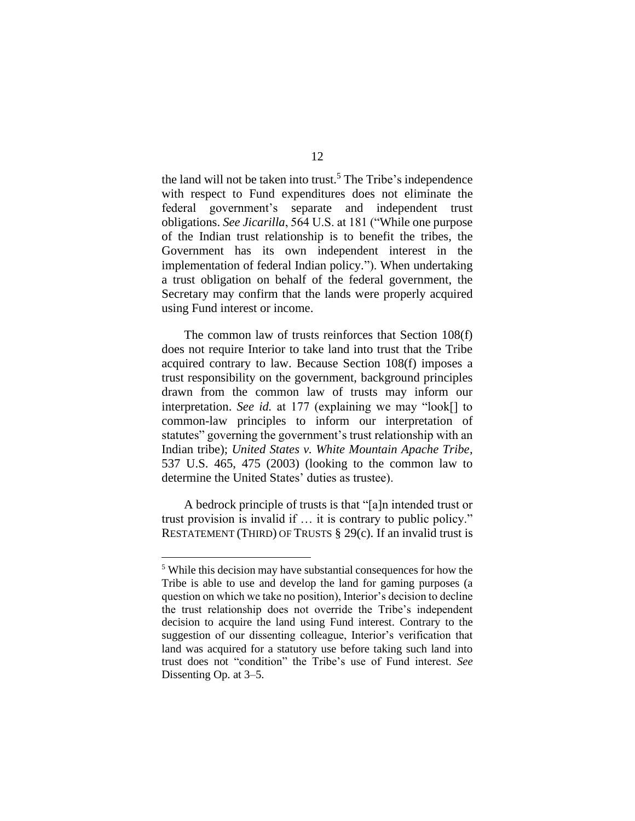the land will not be taken into trust.<sup>5</sup> The Tribe's independence with respect to Fund expenditures does not eliminate the federal government's separate and independent trust obligations. *See Jicarilla*, 564 U.S. at 181 ("While one purpose of the Indian trust relationship is to benefit the tribes, the Government has its own independent interest in the implementation of federal Indian policy."). When undertaking a trust obligation on behalf of the federal government, the Secretary may confirm that the lands were properly acquired using Fund interest or income.

The common law of trusts reinforces that Section 108(f) does not require Interior to take land into trust that the Tribe acquired contrary to law. Because Section 108(f) imposes a trust responsibility on the government, background principles drawn from the common law of trusts may inform our interpretation. *See id.* at 177 (explaining we may "look[] to common-law principles to inform our interpretation of statutes" governing the government's trust relationship with an Indian tribe); *United States v. White Mountain Apache Tribe*, 537 U.S. 465, 475 (2003) (looking to the common law to determine the United States' duties as trustee).

A bedrock principle of trusts is that "[a]n intended trust or trust provision is invalid if … it is contrary to public policy." RESTATEMENT (THIRD) OF TRUSTS § 29(c). If an invalid trust is

<sup>5</sup> While this decision may have substantial consequences for how the Tribe is able to use and develop the land for gaming purposes (a question on which we take no position), Interior's decision to decline the trust relationship does not override the Tribe's independent decision to acquire the land using Fund interest. Contrary to the suggestion of our dissenting colleague, Interior's verification that land was acquired for a statutory use before taking such land into trust does not "condition" the Tribe's use of Fund interest. *See*  Dissenting Op. at 3–5.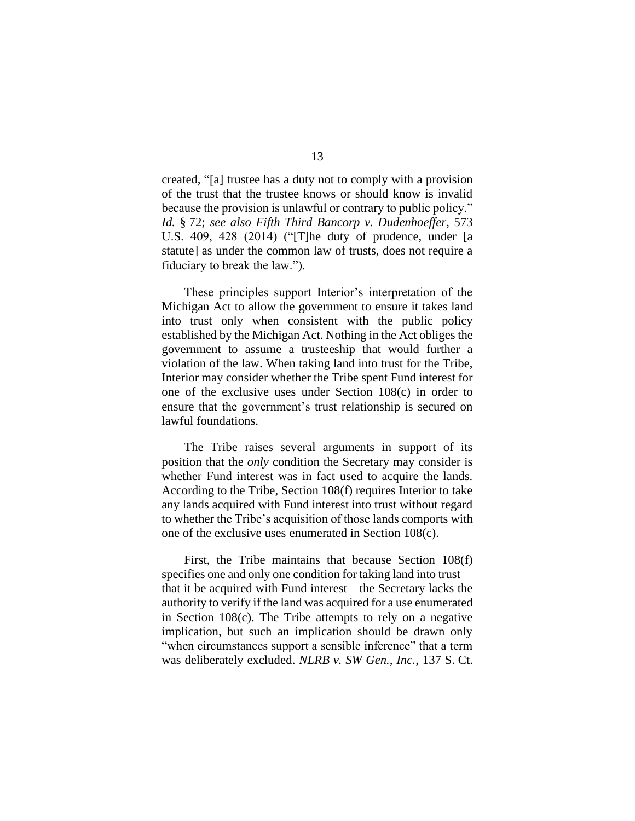created, "[a] trustee has a duty not to comply with a provision of the trust that the trustee knows or should know is invalid because the provision is unlawful or contrary to public policy." *Id.* § 72; *see also Fifth Third Bancorp v. Dudenhoeffer*, 573 U.S. 409, 428 (2014) ("[T]he duty of prudence, under [a statute] as under the common law of trusts, does not require a fiduciary to break the law.").

These principles support Interior's interpretation of the Michigan Act to allow the government to ensure it takes land into trust only when consistent with the public policy established by the Michigan Act. Nothing in the Act obliges the government to assume a trusteeship that would further a violation of the law. When taking land into trust for the Tribe, Interior may consider whether the Tribe spent Fund interest for one of the exclusive uses under Section 108(c) in order to ensure that the government's trust relationship is secured on lawful foundations.

The Tribe raises several arguments in support of its position that the *only* condition the Secretary may consider is whether Fund interest was in fact used to acquire the lands. According to the Tribe, Section 108(f) requires Interior to take any lands acquired with Fund interest into trust without regard to whether the Tribe's acquisition of those lands comports with one of the exclusive uses enumerated in Section 108(c).

First, the Tribe maintains that because Section 108(f) specifies one and only one condition for taking land into trust that it be acquired with Fund interest—the Secretary lacks the authority to verify if the land was acquired for a use enumerated in Section 108(c). The Tribe attempts to rely on a negative implication, but such an implication should be drawn only "when circumstances support a sensible inference" that a term was deliberately excluded. *NLRB v. SW Gen., Inc.*, 137 S. Ct.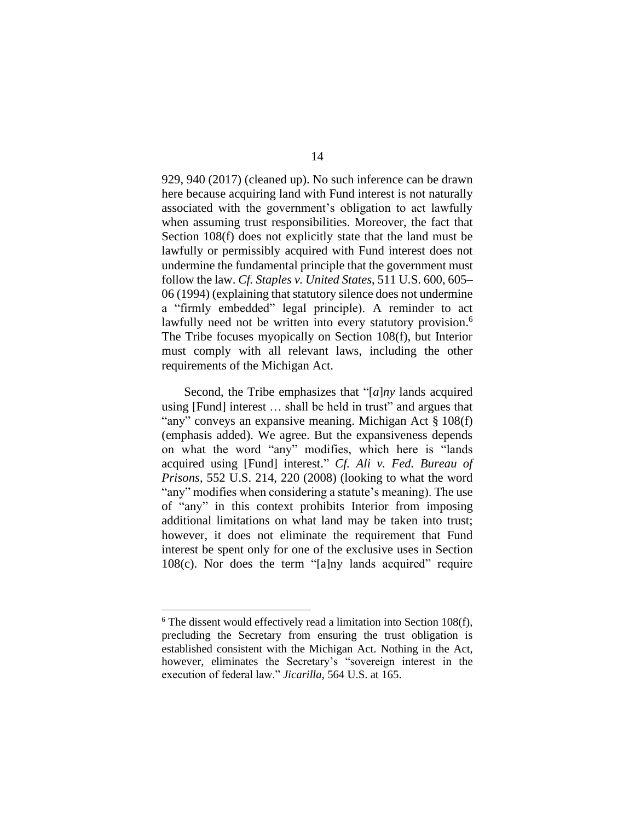929, 940 (2017) (cleaned up). No such inference can be drawn here because acquiring land with Fund interest is not naturally associated with the government's obligation to act lawfully when assuming trust responsibilities. Moreover, the fact that Section 108(f) does not explicitly state that the land must be lawfully or permissibly acquired with Fund interest does not undermine the fundamental principle that the government must follow the law. *Cf. Staples v. United States*, 511 U.S. 600, 605– 06 (1994) (explaining that statutory silence does not undermine a "firmly embedded" legal principle). A reminder to act lawfully need not be written into every statutory provision.<sup>6</sup> The Tribe focuses myopically on Section 108(f), but Interior must comply with all relevant laws, including the other requirements of the Michigan Act.

Second, the Tribe emphasizes that "[*a*]*ny* lands acquired using [Fund] interest … shall be held in trust" and argues that "any" conveys an expansive meaning. Michigan Act § 108(f) (emphasis added). We agree. But the expansiveness depends on what the word "any" modifies, which here is "lands acquired using [Fund] interest." *Cf. Ali v. Fed. Bureau of Prisons*, 552 U.S. 214, 220 (2008) (looking to what the word "any" modifies when considering a statute's meaning). The use of "any" in this context prohibits Interior from imposing additional limitations on what land may be taken into trust; however, it does not eliminate the requirement that Fund interest be spent only for one of the exclusive uses in Section 108(c). Nor does the term "[a]ny lands acquired" require

 $6$  The dissent would effectively read a limitation into Section 108(f), precluding the Secretary from ensuring the trust obligation is established consistent with the Michigan Act. Nothing in the Act, however, eliminates the Secretary's "sovereign interest in the execution of federal law." *Jicarilla*, 564 U.S. at 165.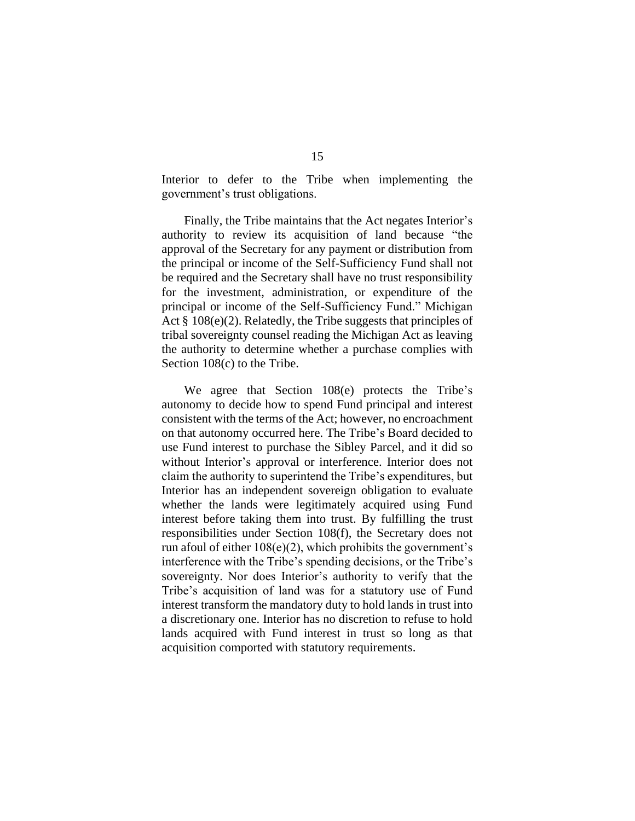Interior to defer to the Tribe when implementing the government's trust obligations.

Finally, the Tribe maintains that the Act negates Interior's authority to review its acquisition of land because "the approval of the Secretary for any payment or distribution from the principal or income of the Self-Sufficiency Fund shall not be required and the Secretary shall have no trust responsibility for the investment, administration, or expenditure of the principal or income of the Self-Sufficiency Fund." Michigan Act § 108(e)(2). Relatedly, the Tribe suggests that principles of tribal sovereignty counsel reading the Michigan Act as leaving the authority to determine whether a purchase complies with Section 108(c) to the Tribe.

We agree that Section 108(e) protects the Tribe's autonomy to decide how to spend Fund principal and interest consistent with the terms of the Act; however, no encroachment on that autonomy occurred here. The Tribe's Board decided to use Fund interest to purchase the Sibley Parcel, and it did so without Interior's approval or interference. Interior does not claim the authority to superintend the Tribe's expenditures, but Interior has an independent sovereign obligation to evaluate whether the lands were legitimately acquired using Fund interest before taking them into trust. By fulfilling the trust responsibilities under Section 108(f), the Secretary does not run afoul of either 108(e)(2), which prohibits the government's interference with the Tribe's spending decisions, or the Tribe's sovereignty. Nor does Interior's authority to verify that the Tribe's acquisition of land was for a statutory use of Fund interest transform the mandatory duty to hold lands in trust into a discretionary one. Interior has no discretion to refuse to hold lands acquired with Fund interest in trust so long as that acquisition comported with statutory requirements.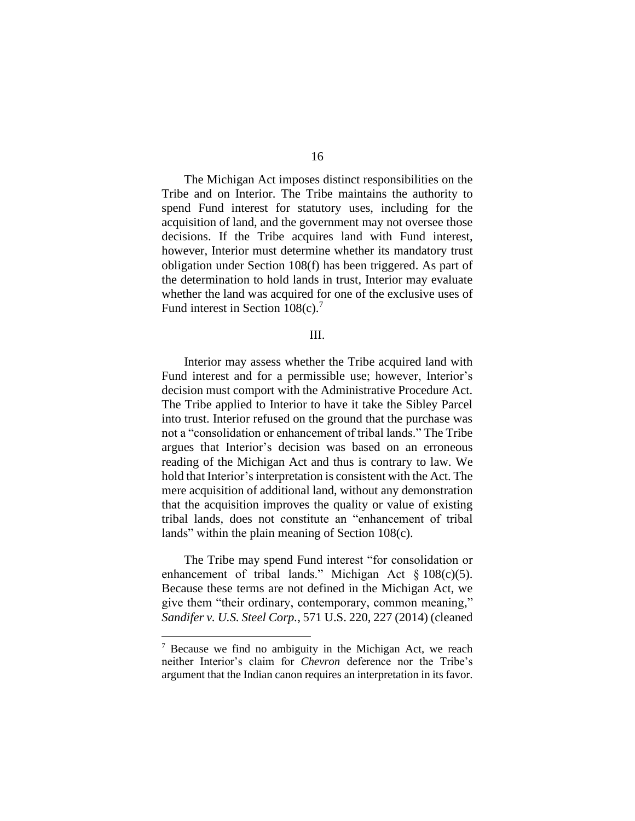The Michigan Act imposes distinct responsibilities on the Tribe and on Interior. The Tribe maintains the authority to spend Fund interest for statutory uses, including for the acquisition of land, and the government may not oversee those decisions. If the Tribe acquires land with Fund interest, however, Interior must determine whether its mandatory trust obligation under Section 108(f) has been triggered. As part of the determination to hold lands in trust, Interior may evaluate whether the land was acquired for one of the exclusive uses of Fund interest in Section 108(c).<sup>7</sup>

### III.

Interior may assess whether the Tribe acquired land with Fund interest and for a permissible use; however, Interior's decision must comport with the Administrative Procedure Act. The Tribe applied to Interior to have it take the Sibley Parcel into trust. Interior refused on the ground that the purchase was not a "consolidation or enhancement of tribal lands." The Tribe argues that Interior's decision was based on an erroneous reading of the Michigan Act and thus is contrary to law. We hold that Interior's interpretation is consistent with the Act. The mere acquisition of additional land, without any demonstration that the acquisition improves the quality or value of existing tribal lands, does not constitute an "enhancement of tribal lands" within the plain meaning of Section 108(c).

The Tribe may spend Fund interest "for consolidation or enhancement of tribal lands." Michigan Act § 108(c)(5). Because these terms are not defined in the Michigan Act, we give them "their ordinary, contemporary, common meaning," *Sandifer v. U.S. Steel Corp.*, 571 U.S. 220, 227 (2014) (cleaned

<sup>7</sup> Because we find no ambiguity in the Michigan Act, we reach neither Interior's claim for *Chevron* deference nor the Tribe's argument that the Indian canon requires an interpretation in its favor.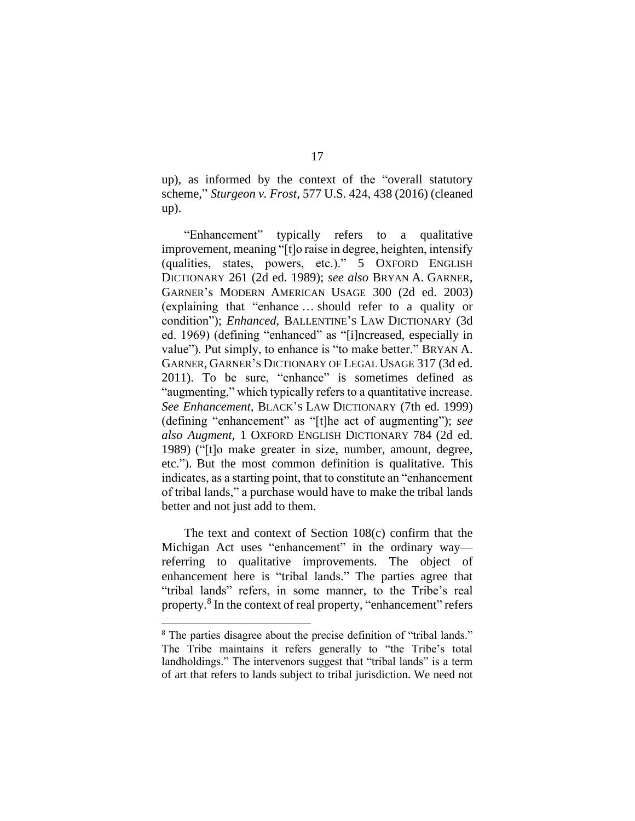up), as informed by the context of the "overall statutory scheme," *Sturgeon v. Frost*, 577 U.S. 424, 438 (2016) (cleaned up).

"Enhancement" typically refers to a qualitative improvement, meaning "[t]o raise in degree, heighten, intensify (qualities, states, powers, etc.)." 5 OXFORD ENGLISH DICTIONARY 261 (2d ed. 1989); *see also* BRYAN A. GARNER, GARNER's MODERN AMERICAN USAGE 300 (2d ed. 2003) (explaining that "enhance … should refer to a quality or condition"); *Enhanced*, BALLENTINE'S LAW DICTIONARY (3d ed. 1969) (defining "enhanced" as "[i]ncreased, especially in value"). Put simply, to enhance is "to make better." BRYAN A. GARNER, GARNER'S DICTIONARY OF LEGAL USAGE 317 (3d ed. 2011). To be sure, "enhance" is sometimes defined as "augmenting," which typically refers to a quantitative increase. *See Enhancement,* BLACK'S LAW DICTIONARY (7th ed. 1999) (defining "enhancement" as "[t]he act of augmenting"); *see also Augment*, 1 OXFORD ENGLISH DICTIONARY 784 (2d ed. 1989) ("[t]o make greater in size, number, amount, degree, etc."). But the most common definition is qualitative. This indicates, as a starting point, that to constitute an "enhancement of tribal lands," a purchase would have to make the tribal lands better and not just add to them.

The text and context of Section 108(c) confirm that the Michigan Act uses "enhancement" in the ordinary way referring to qualitative improvements. The object of enhancement here is "tribal lands." The parties agree that "tribal lands" refers, in some manner, to the Tribe's real property.<sup>8</sup> In the context of real property, "enhancement" refers

<sup>&</sup>lt;sup>8</sup> The parties disagree about the precise definition of "tribal lands." The Tribe maintains it refers generally to "the Tribe's total landholdings." The intervenors suggest that "tribal lands" is a term of art that refers to lands subject to tribal jurisdiction. We need not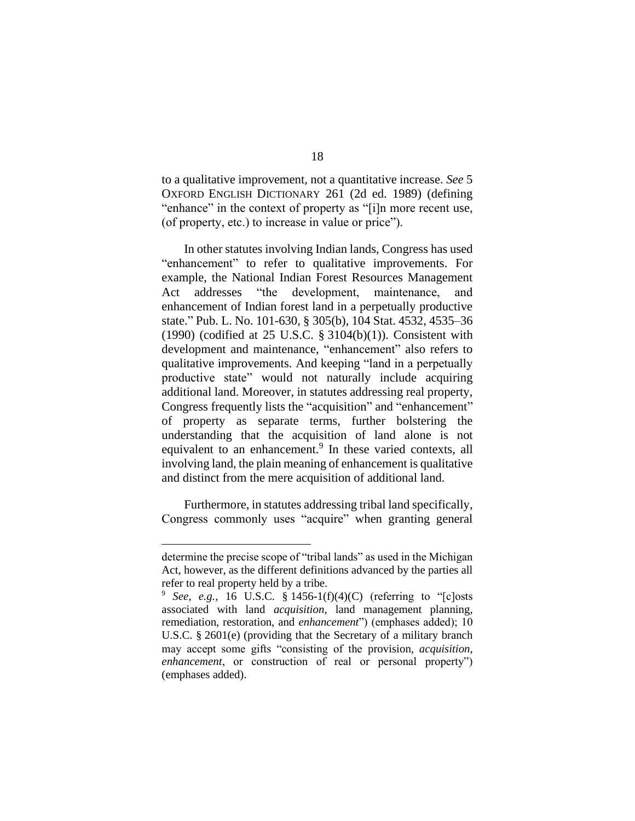to a qualitative improvement, not a quantitative increase. *See* 5 OXFORD ENGLISH DICTIONARY 261 (2d ed. 1989) (defining "enhance" in the context of property as "[i]n more recent use, (of property, etc.) to increase in value or price").

In other statutes involving Indian lands, Congress has used "enhancement" to refer to qualitative improvements. For example, the National Indian Forest Resources Management Act addresses "the development, maintenance, and enhancement of Indian forest land in a perpetually productive state." Pub. L. No. 101-630, § 305(b), 104 Stat. 4532, 4535–36 (1990) (codified at 25 U.S.C.  $\S 3104(b)(1)$ ). Consistent with development and maintenance, "enhancement" also refers to qualitative improvements. And keeping "land in a perpetually productive state" would not naturally include acquiring additional land. Moreover, in statutes addressing real property, Congress frequently lists the "acquisition" and "enhancement" of property as separate terms, further bolstering the understanding that the acquisition of land alone is not equivalent to an enhancement.<sup>9</sup> In these varied contexts, all involving land, the plain meaning of enhancement is qualitative and distinct from the mere acquisition of additional land.

Furthermore, in statutes addressing tribal land specifically, Congress commonly uses "acquire" when granting general

determine the precise scope of "tribal lands" as used in the Michigan Act, however, as the different definitions advanced by the parties all refer to real property held by a tribe.

<sup>&</sup>lt;sup>9</sup> *See, e.g.*, 16 U.S.C. § 1456-1(f)(4)(C) (referring to "[c]osts associated with land *acquisition*, land management planning, remediation, restoration, and *enhancement*") (emphases added); 10 U.S.C. § 2601(e) (providing that the Secretary of a military branch may accept some gifts "consisting of the provision, *acquisition*, *enhancement*, or construction of real or personal property") (emphases added).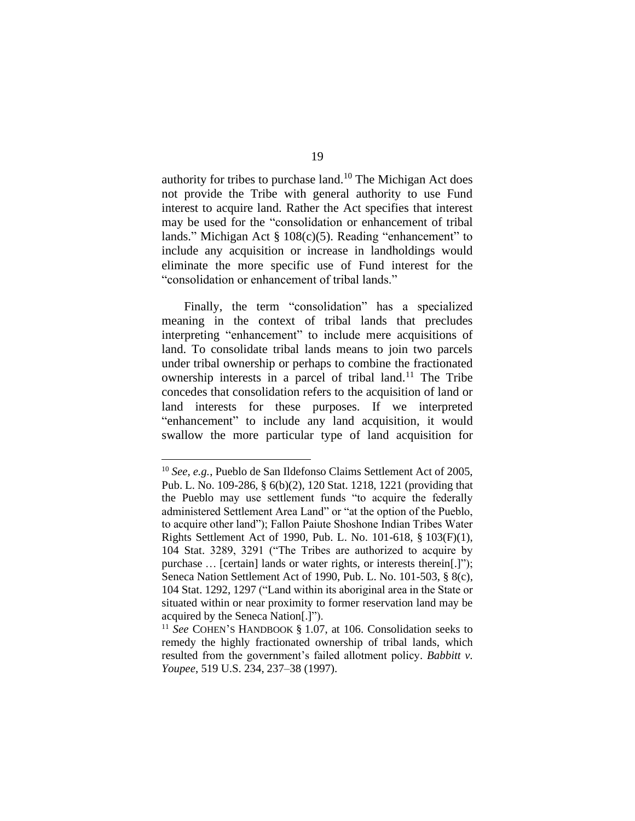authority for tribes to purchase land. <sup>10</sup> The Michigan Act does not provide the Tribe with general authority to use Fund interest to acquire land. Rather the Act specifies that interest may be used for the "consolidation or enhancement of tribal lands." Michigan Act § 108(c)(5). Reading "enhancement" to include any acquisition or increase in landholdings would eliminate the more specific use of Fund interest for the "consolidation or enhancement of tribal lands."

Finally, the term "consolidation" has a specialized meaning in the context of tribal lands that precludes interpreting "enhancement" to include mere acquisitions of land. To consolidate tribal lands means to join two parcels under tribal ownership or perhaps to combine the fractionated ownership interests in a parcel of tribal land.<sup>11</sup> The Tribe concedes that consolidation refers to the acquisition of land or land interests for these purposes. If we interpreted "enhancement" to include any land acquisition, it would swallow the more particular type of land acquisition for

<sup>10</sup> *See, e.g.*, Pueblo de San Ildefonso Claims Settlement Act of 2005, Pub. L. No. 109-286, § 6(b)(2), 120 Stat. 1218, 1221 (providing that the Pueblo may use settlement funds "to acquire the federally administered Settlement Area Land" or "at the option of the Pueblo, to acquire other land"); Fallon Paiute Shoshone Indian Tribes Water Rights Settlement Act of 1990, Pub. L. No. 101-618, § 103(F)(1), 104 Stat. 3289, 3291 ("The Tribes are authorized to acquire by purchase … [certain] lands or water rights, or interests therein[.]"); Seneca Nation Settlement Act of 1990, Pub. L. No. 101-503, § 8(c), 104 Stat. 1292, 1297 ("Land within its aboriginal area in the State or situated within or near proximity to former reservation land may be acquired by the Seneca Nation[.]").

<sup>11</sup> *See* COHEN'S HANDBOOK § 1.07, at 106. Consolidation seeks to remedy the highly fractionated ownership of tribal lands, which resulted from the government's failed allotment policy. *Babbitt v. Youpee*, 519 U.S. 234, 237–38 (1997).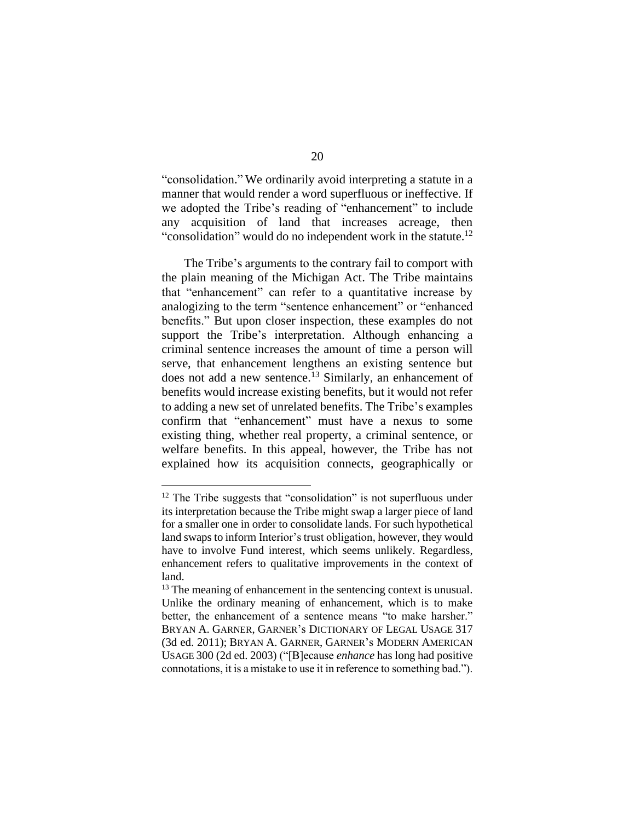"consolidation." We ordinarily avoid interpreting a statute in a manner that would render a word superfluous or ineffective. If we adopted the Tribe's reading of "enhancement" to include any acquisition of land that increases acreage, then "consolidation" would do no independent work in the statute.<sup>12</sup>

The Tribe's arguments to the contrary fail to comport with the plain meaning of the Michigan Act. The Tribe maintains that "enhancement" can refer to a quantitative increase by analogizing to the term "sentence enhancement" or "enhanced benefits." But upon closer inspection, these examples do not support the Tribe's interpretation. Although enhancing a criminal sentence increases the amount of time a person will serve, that enhancement lengthens an existing sentence but does not add a new sentence.<sup>13</sup> Similarly, an enhancement of benefits would increase existing benefits, but it would not refer to adding a new set of unrelated benefits. The Tribe's examples confirm that "enhancement" must have a nexus to some existing thing, whether real property, a criminal sentence, or welfare benefits. In this appeal, however, the Tribe has not explained how its acquisition connects, geographically or

<sup>&</sup>lt;sup>12</sup> The Tribe suggests that "consolidation" is not superfluous under its interpretation because the Tribe might swap a larger piece of land for a smaller one in order to consolidate lands. For such hypothetical land swaps to inform Interior's trust obligation, however, they would have to involve Fund interest, which seems unlikely. Regardless, enhancement refers to qualitative improvements in the context of land.

<sup>&</sup>lt;sup>13</sup> The meaning of enhancement in the sentencing context is unusual. Unlike the ordinary meaning of enhancement, which is to make better, the enhancement of a sentence means "to make harsher." BRYAN A. GARNER, GARNER's DICTIONARY OF LEGAL USAGE 317 (3d ed. 2011); BRYAN A. GARNER, GARNER's MODERN AMERICAN USAGE 300 (2d ed. 2003) ("[B]ecause *enhance* has long had positive connotations, it is a mistake to use it in reference to something bad.").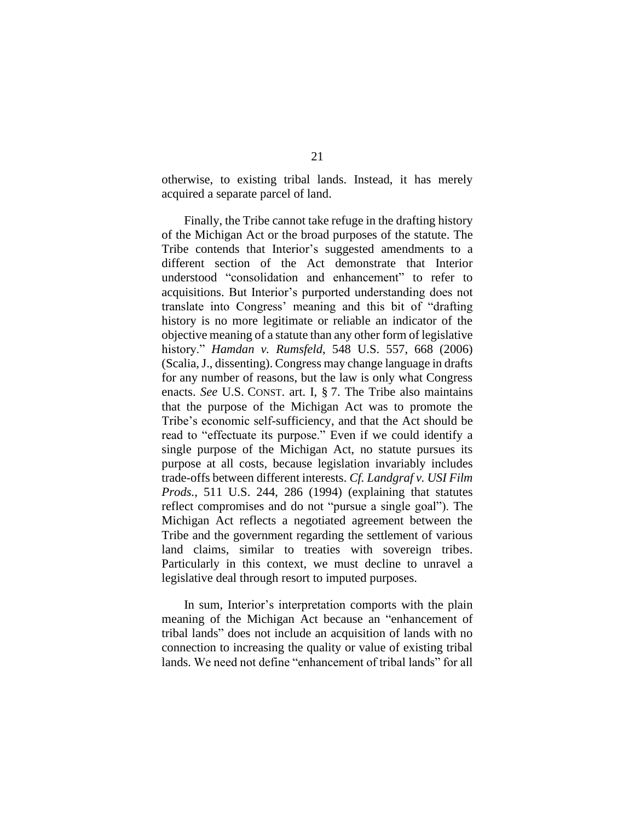otherwise, to existing tribal lands. Instead, it has merely acquired a separate parcel of land.

Finally, the Tribe cannot take refuge in the drafting history of the Michigan Act or the broad purposes of the statute. The Tribe contends that Interior's suggested amendments to a different section of the Act demonstrate that Interior understood "consolidation and enhancement" to refer to acquisitions. But Interior's purported understanding does not translate into Congress' meaning and this bit of "drafting history is no more legitimate or reliable an indicator of the objective meaning of a statute than any other form of legislative history." *Hamdan v. Rumsfeld*, 548 U.S. 557, 668 (2006) (Scalia, J., dissenting). Congress may change language in drafts for any number of reasons, but the law is only what Congress enacts. *See* U.S. CONST. art. I, § 7. The Tribe also maintains that the purpose of the Michigan Act was to promote the Tribe's economic self-sufficiency, and that the Act should be read to "effectuate its purpose." Even if we could identify a single purpose of the Michigan Act, no statute pursues its purpose at all costs, because legislation invariably includes trade-offs between different interests. *Cf. Landgraf v. USI Film Prods.*, 511 U.S. 244, 286 (1994) (explaining that statutes reflect compromises and do not "pursue a single goal"). The Michigan Act reflects a negotiated agreement between the Tribe and the government regarding the settlement of various land claims, similar to treaties with sovereign tribes. Particularly in this context, we must decline to unravel a legislative deal through resort to imputed purposes.

In sum, Interior's interpretation comports with the plain meaning of the Michigan Act because an "enhancement of tribal lands" does not include an acquisition of lands with no connection to increasing the quality or value of existing tribal lands. We need not define "enhancement of tribal lands" for all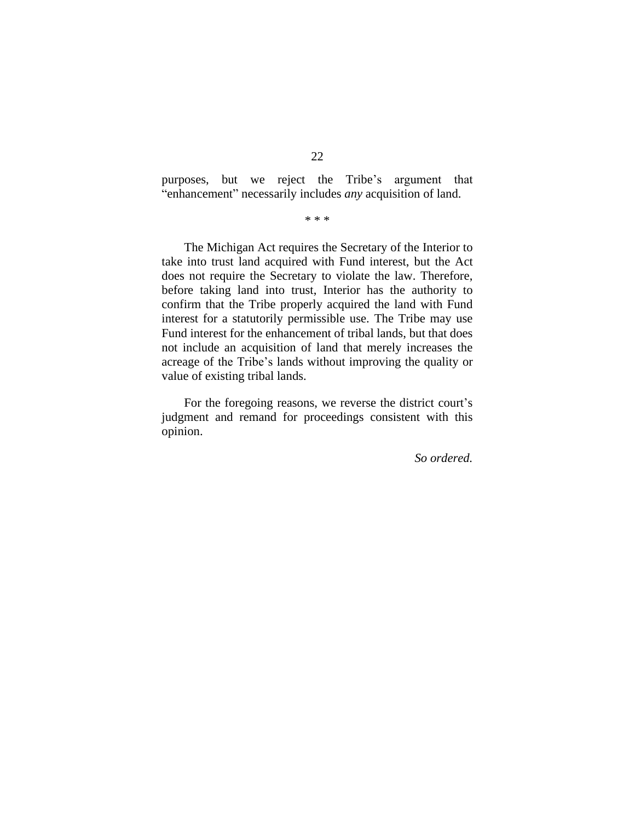purposes, but we reject the Tribe's argument that "enhancement" necessarily includes *any* acquisition of land.

\* \* \*

The Michigan Act requires the Secretary of the Interior to take into trust land acquired with Fund interest, but the Act does not require the Secretary to violate the law. Therefore, before taking land into trust, Interior has the authority to confirm that the Tribe properly acquired the land with Fund interest for a statutorily permissible use. The Tribe may use Fund interest for the enhancement of tribal lands, but that does not include an acquisition of land that merely increases the acreage of the Tribe's lands without improving the quality or value of existing tribal lands.

For the foregoing reasons, we reverse the district court's judgment and remand for proceedings consistent with this opinion.

*So ordered.*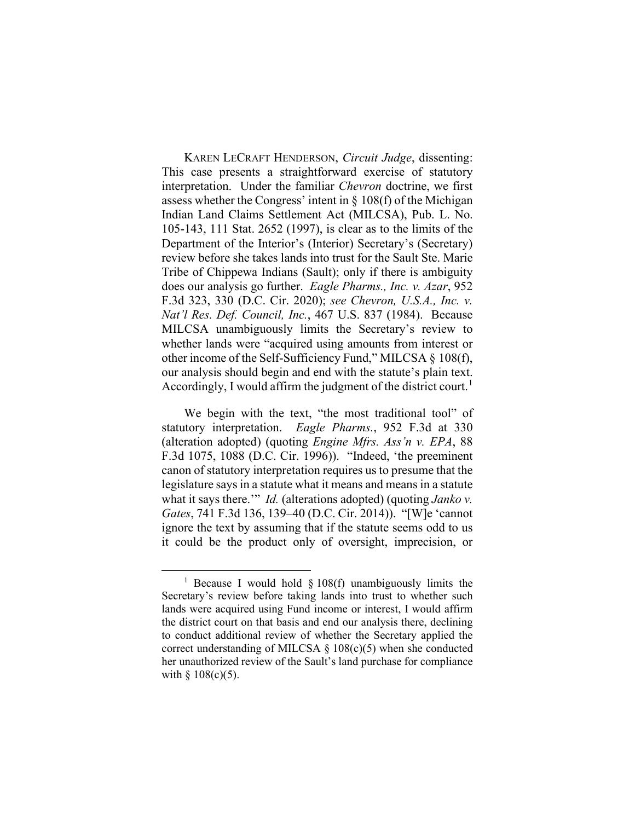KAREN LECRAFT HENDERSON, *Circuit Judge*, dissenting: This case presents a straightforward exercise of statutory interpretation. Under the familiar *Chevron* doctrine, we first assess whether the Congress' intent in  $\S$  108(f) of the Michigan Indian Land Claims Settlement Act (MILCSA), Pub. L. No. 105-143, 111 Stat. 2652 (1997), is clear as to the limits of the Department of the Interior's (Interior) Secretary's (Secretary) review before she takes lands into trust for the Sault Ste. Marie Tribe of Chippewa Indians (Sault); only if there is ambiguity does our analysis go further. *Eagle Pharms., Inc. v. Azar*, 952 F.3d 323, 330 (D.C. Cir. 2020); *see Chevron, U.S.A., Inc. v. Nat'l Res. Def. Council, Inc.*, 467 U.S. 837 (1984). Because MILCSA unambiguously limits the Secretary's review to whether lands were "acquired using amounts from interest or other income of the Self-Sufficiency Fund," MILCSA § 108(f), our analysis should begin and end with the statute's plain text. Accordingly, I would affirm the judgment of the district court.<sup>[1](#page-22-0)</sup>

We begin with the text, "the most traditional tool" of statutory interpretation. *Eagle Pharms.*, 952 F.3d at 330 (alteration adopted) (quoting *Engine Mfrs. Ass'n v. EPA*, 88 F.3d 1075, 1088 (D.C. Cir. 1996)). "Indeed, 'the preeminent canon of statutory interpretation requires us to presume that the legislature says in a statute what it means and means in a statute what it says there.'" *Id.* (alterations adopted) (quoting *Janko v. Gates*, 741 F.3d 136, 139–40 (D.C. Cir. 2014)). "[W]e 'cannot ignore the text by assuming that if the statute seems odd to us it could be the product only of oversight, imprecision, or

<span id="page-22-0"></span><sup>&</sup>lt;sup>1</sup> Because I would hold  $\S$  108(f) unambiguously limits the Secretary's review before taking lands into trust to whether such lands were acquired using Fund income or interest, I would affirm the district court on that basis and end our analysis there, declining to conduct additional review of whether the Secretary applied the correct understanding of MILCSA  $\S$  108(c)(5) when she conducted her unauthorized review of the Sault's land purchase for compliance with  $§ 108(c)(5)$ .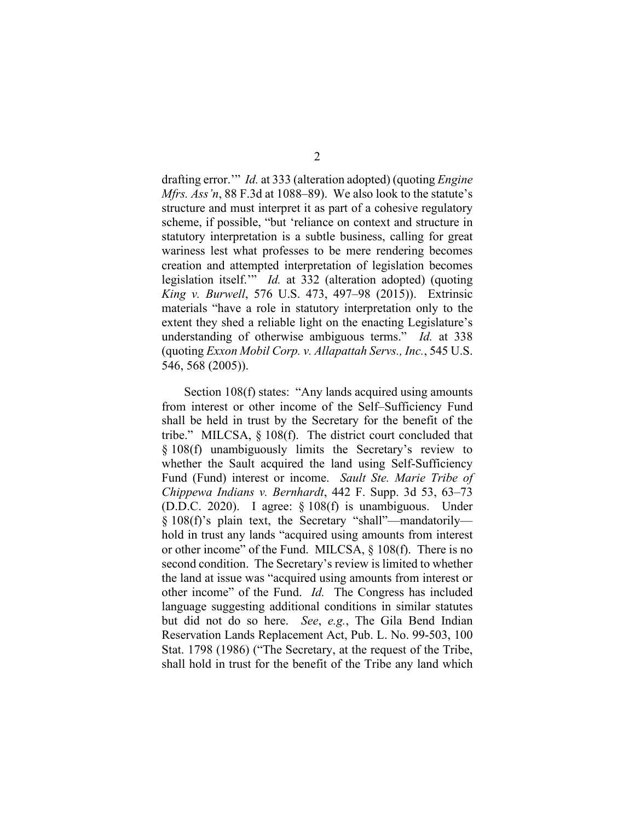drafting error.'" *Id.* at 333 (alteration adopted) (quoting *Engine Mfrs. Ass'n*, 88 F.3d at 1088–89). We also look to the statute's structure and must interpret it as part of a cohesive regulatory scheme, if possible, "but 'reliance on context and structure in statutory interpretation is a subtle business, calling for great wariness lest what professes to be mere rendering becomes creation and attempted interpretation of legislation becomes legislation itself.'" *Id.* at 332 (alteration adopted) (quoting *King v. Burwell*, 576 U.S. 473, 497–98 (2015)). Extrinsic materials "have a role in statutory interpretation only to the extent they shed a reliable light on the enacting Legislature's understanding of otherwise ambiguous terms." *Id.* at 338 (quoting *Exxon Mobil Corp. v. Allapattah Servs., Inc.*, 545 U.S. 546, 568 (2005)).

Section 108(f) states: "Any lands acquired using amounts from interest or other income of the Self–Sufficiency Fund shall be held in trust by the Secretary for the benefit of the tribe." MILCSA, § 108(f). The district court concluded that § 108(f) unambiguously limits the Secretary's review to whether the Sault acquired the land using Self-Sufficiency Fund (Fund) interest or income. *Sault Ste. Marie Tribe of Chippewa Indians v. Bernhardt*, 442 F. Supp. 3d 53, 63–73 (D.D.C. 2020). I agree: § 108(f) is unambiguous. Under § 108(f)'s plain text, the Secretary "shall"—mandatorily hold in trust any lands "acquired using amounts from interest or other income" of the Fund. MILCSA, § 108(f). There is no second condition. The Secretary's review is limited to whether the land at issue was "acquired using amounts from interest or other income" of the Fund. *Id.* The Congress has included language suggesting additional conditions in similar statutes but did not do so here. *See*, *e.g.*, The Gila Bend Indian Reservation Lands Replacement Act, Pub. L. No. 99-503, 100 Stat. 1798 (1986) ("The Secretary, at the request of the Tribe, shall hold in trust for the benefit of the Tribe any land which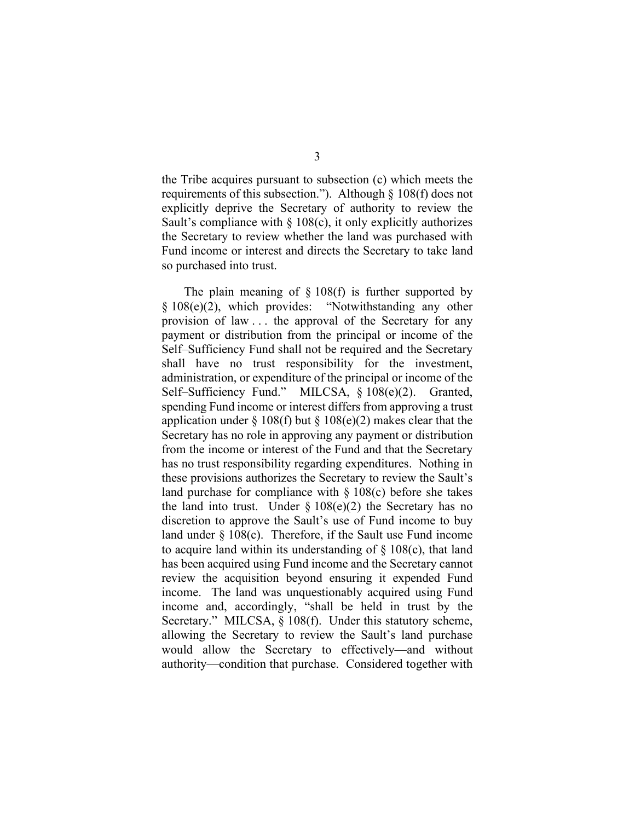the Tribe acquires pursuant to subsection (c) which meets the requirements of this subsection."). Although § 108(f) does not explicitly deprive the Secretary of authority to review the Sault's compliance with  $\S$  108(c), it only explicitly authorizes the Secretary to review whether the land was purchased with Fund income or interest and directs the Secretary to take land so purchased into trust.

The plain meaning of  $\S$  108(f) is further supported by § 108(e)(2), which provides: "Notwithstanding any other provision of law . . . the approval of the Secretary for any payment or distribution from the principal or income of the Self–Sufficiency Fund shall not be required and the Secretary shall have no trust responsibility for the investment, administration, or expenditure of the principal or income of the Self–Sufficiency Fund." MILCSA, § 108(e)(2). Granted, spending Fund income or interest differs from approving a trust application under § 108(f) but § 108(e)(2) makes clear that the Secretary has no role in approving any payment or distribution from the income or interest of the Fund and that the Secretary has no trust responsibility regarding expenditures. Nothing in these provisions authorizes the Secretary to review the Sault's land purchase for compliance with  $\S 108(c)$  before she takes the land into trust. Under  $\S 108(e)(2)$  the Secretary has no discretion to approve the Sault's use of Fund income to buy land under § 108(c). Therefore, if the Sault use Fund income to acquire land within its understanding of  $\S$  108(c), that land has been acquired using Fund income and the Secretary cannot review the acquisition beyond ensuring it expended Fund income. The land was unquestionably acquired using Fund income and, accordingly, "shall be held in trust by the Secretary." MILCSA, § 108(f). Under this statutory scheme, allowing the Secretary to review the Sault's land purchase would allow the Secretary to effectively—and without authority—condition that purchase. Considered together with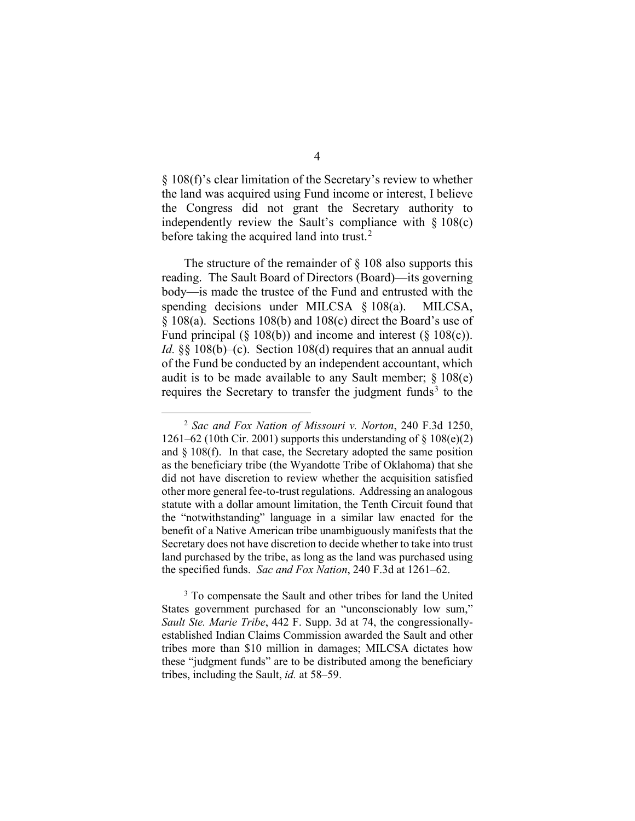§ 108(f)'s clear limitation of the Secretary's review to whether the land was acquired using Fund income or interest, I believe the Congress did not grant the Secretary authority to independently review the Sault's compliance with  $\S 108(c)$ before taking the acquired land into trust. $2$ 

The structure of the remainder of  $\S$  108 also supports this reading. The Sault Board of Directors (Board)—its governing body—is made the trustee of the Fund and entrusted with the spending decisions under MILCSA § 108(a). MILCSA, § 108(a). Sections 108(b) and 108(c) direct the Board's use of Fund principal  $(\S 108(b))$  and income and interest  $(\S 108(c))$ . *Id.* §§ 108(b)–(c). Section 108(d) requires that an annual audit of the Fund be conducted by an independent accountant, which audit is to be made available to any Sault member;  $\S 108(e)$ requires the Secretary to transfer the judgment funds<sup>[3](#page-25-1)</sup> to the

<span id="page-25-0"></span><sup>2</sup> *Sac and Fox Nation of Missouri v. Norton*, 240 F.3d 1250, 1261–62 (10th Cir. 2001) supports this understanding of  $\S$  108(e)(2) and  $\S$  108(f). In that case, the Secretary adopted the same position as the beneficiary tribe (the Wyandotte Tribe of Oklahoma) that she did not have discretion to review whether the acquisition satisfied other more general fee-to-trust regulations. Addressing an analogous statute with a dollar amount limitation, the Tenth Circuit found that the "notwithstanding" language in a similar law enacted for the benefit of a Native American tribe unambiguously manifests that the Secretary does not have discretion to decide whether to take into trust land purchased by the tribe, as long as the land was purchased using the specified funds. *Sac and Fox Nation*, 240 F.3d at 1261–62.

<span id="page-25-1"></span><sup>&</sup>lt;sup>3</sup> To compensate the Sault and other tribes for land the United States government purchased for an "unconscionably low sum," *Sault Ste. Marie Tribe*, 442 F. Supp. 3d at 74, the congressionallyestablished Indian Claims Commission awarded the Sault and other tribes more than \$10 million in damages; MILCSA dictates how these "judgment funds" are to be distributed among the beneficiary tribes, including the Sault, *id.* at 58–59.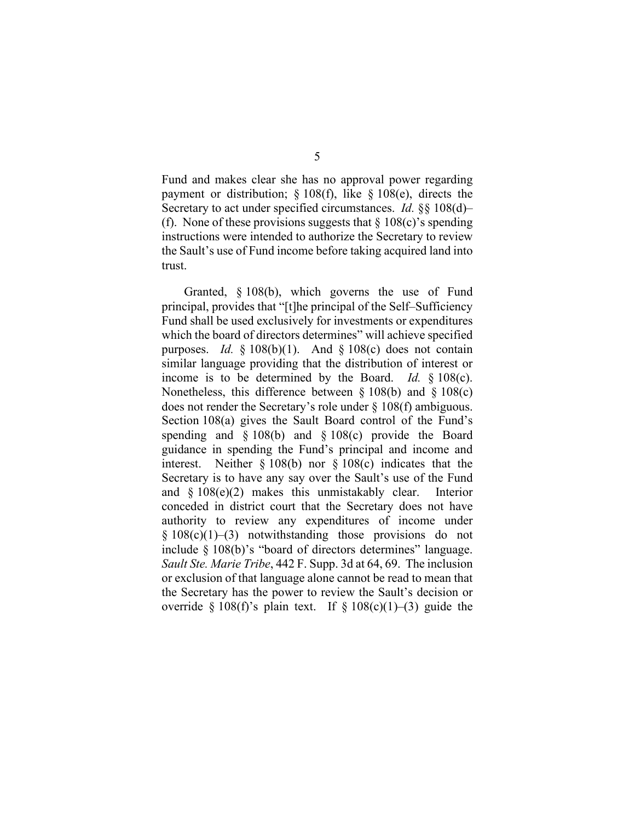Fund and makes clear she has no approval power regarding payment or distribution; § 108(f), like § 108(e), directs the Secretary to act under specified circumstances. *Id.* §§ 108(d)– (f). None of these provisions suggests that  $\S 108(c)$ 's spending instructions were intended to authorize the Secretary to review the Sault's use of Fund income before taking acquired land into trust.

Granted, § 108(b), which governs the use of Fund principal, provides that "[t]he principal of the Self–Sufficiency Fund shall be used exclusively for investments or expenditures which the board of directors determines" will achieve specified purposes. *Id.*  $\frac{1}{2}$  108(b)(1). And  $\frac{1}{2}$  108(c) does not contain similar language providing that the distribution of interest or income is to be determined by the Board. *Id.* § 108(c). Nonetheless, this difference between § 108(b) and § 108(c) does not render the Secretary's role under § 108(f) ambiguous. Section 108(a) gives the Sault Board control of the Fund's spending and § 108(b) and § 108(c) provide the Board guidance in spending the Fund's principal and income and interest. Neither § 108(b) nor § 108(c) indicates that the Secretary is to have any say over the Sault's use of the Fund and  $\frac{108(e)}{2}$  makes this unmistakably clear. Interior conceded in district court that the Secretary does not have authority to review any expenditures of income under  $§ 108(c)(1)–(3)$  notwithstanding those provisions do not include § 108(b)'s "board of directors determines" language. *Sault Ste. Marie Tribe*, 442 F. Supp. 3d at 64, 69. The inclusion or exclusion of that language alone cannot be read to mean that the Secretary has the power to review the Sault's decision or override § 108(f)'s plain text. If § 108(c)(1)–(3) guide the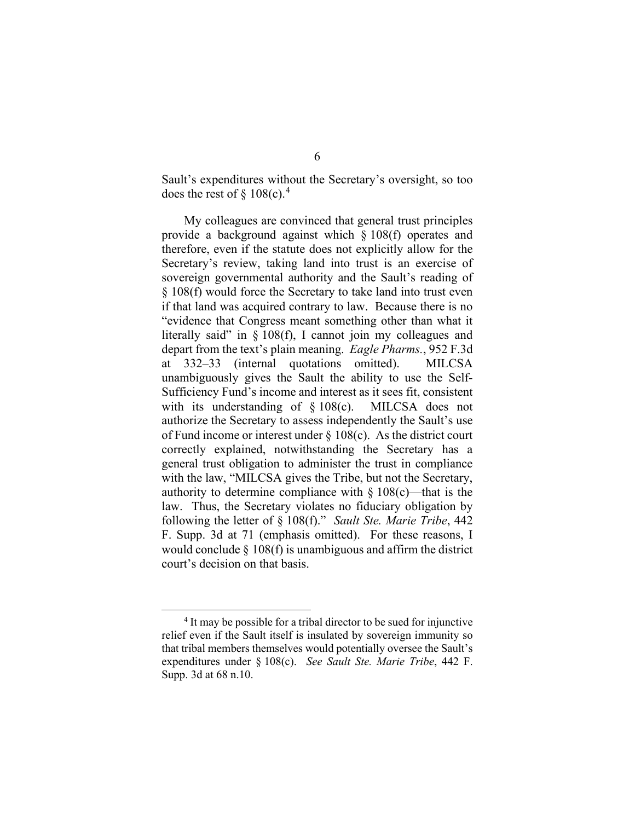Sault's expenditures without the Secretary's oversight, so too does the rest of  $\S 108(c).<sup>4</sup>$  $\S 108(c).<sup>4</sup>$  $\S 108(c).<sup>4</sup>$ 

My colleagues are convinced that general trust principles provide a background against which § 108(f) operates and therefore, even if the statute does not explicitly allow for the Secretary's review, taking land into trust is an exercise of sovereign governmental authority and the Sault's reading of § 108(f) would force the Secretary to take land into trust even if that land was acquired contrary to law. Because there is no "evidence that Congress meant something other than what it literally said" in § 108(f), I cannot join my colleagues and depart from the text's plain meaning. *Eagle Pharms.*, 952 F.3d at 332–33 (internal quotations omitted). MILCSA unambiguously gives the Sault the ability to use the Self-Sufficiency Fund's income and interest as it sees fit, consistent with its understanding of § 108(c). MILCSA does not authorize the Secretary to assess independently the Sault's use of Fund income or interest under § 108(c). As the district court correctly explained, notwithstanding the Secretary has a general trust obligation to administer the trust in compliance with the law, "MILCSA gives the Tribe, but not the Secretary, authority to determine compliance with  $\S 108(c)$ —that is the law. Thus, the Secretary violates no fiduciary obligation by following the letter of § 108(f)." *Sault Ste. Marie Tribe*, 442 F. Supp. 3d at 71 (emphasis omitted). For these reasons, I would conclude  $\S$  108(f) is unambiguous and affirm the district court's decision on that basis.

<span id="page-27-0"></span><sup>&</sup>lt;sup>4</sup> It may be possible for a tribal director to be sued for injunctive relief even if the Sault itself is insulated by sovereign immunity so that tribal members themselves would potentially oversee the Sault's expenditures under § 108(c). *See Sault Ste. Marie Tribe*, 442 F. Supp. 3d at 68 n.10.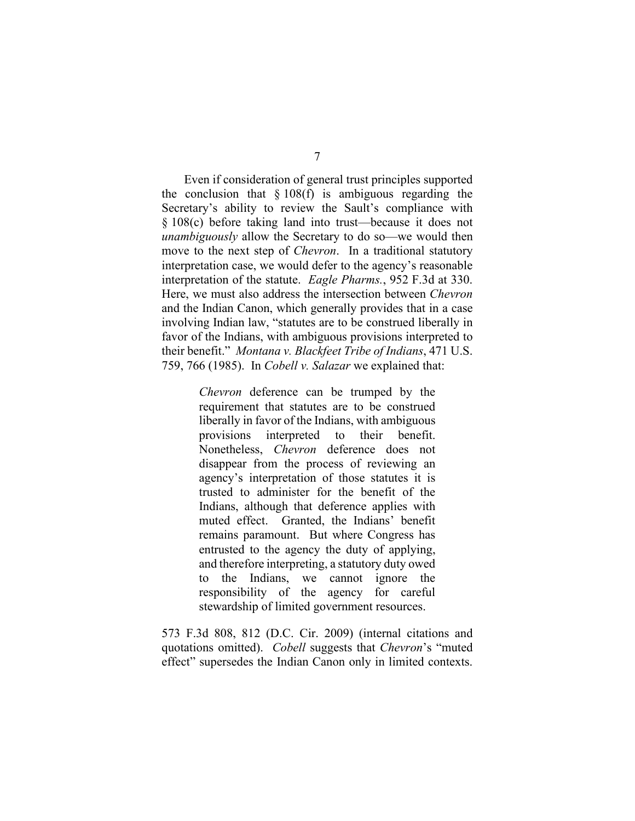Even if consideration of general trust principles supported the conclusion that  $\S 108(f)$  is ambiguous regarding the Secretary's ability to review the Sault's compliance with § 108(c) before taking land into trust—because it does not *unambiguously* allow the Secretary to do so—we would then move to the next step of *Chevron*. In a traditional statutory interpretation case, we would defer to the agency's reasonable interpretation of the statute. *Eagle Pharms.*, 952 F.3d at 330. Here, we must also address the intersection between *Chevron* and the Indian Canon, which generally provides that in a case involving Indian law, "statutes are to be construed liberally in favor of the Indians, with ambiguous provisions interpreted to their benefit." *Montana v. Blackfeet Tribe of Indians*, 471 U.S. 759, 766 (1985). In *Cobell v. Salazar* we explained that:

> *Chevron* deference can be trumped by the requirement that statutes are to be construed liberally in favor of the Indians, with ambiguous provisions interpreted to their benefit. Nonetheless, *Chevron* deference does not disappear from the process of reviewing an agency's interpretation of those statutes it is trusted to administer for the benefit of the Indians, although that deference applies with muted effect. Granted, the Indians' benefit remains paramount. But where Congress has entrusted to the agency the duty of applying, and therefore interpreting, a statutory duty owed to the Indians, we cannot ignore the responsibility of the agency for careful stewardship of limited government resources.

573 F.3d 808, 812 (D.C. Cir. 2009) (internal citations and quotations omitted). *Cobell* suggests that *Chevron*'s "muted effect" supersedes the Indian Canon only in limited contexts.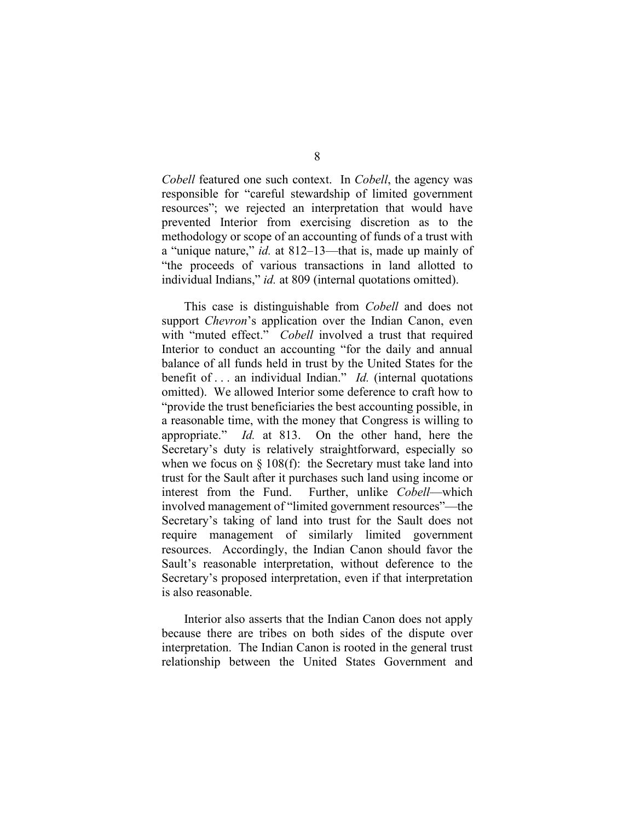*Cobell* featured one such context. In *Cobell*, the agency was responsible for "careful stewardship of limited government resources"; we rejected an interpretation that would have prevented Interior from exercising discretion as to the methodology or scope of an accounting of funds of a trust with a "unique nature," *id.* at 812–13—that is, made up mainly of "the proceeds of various transactions in land allotted to individual Indians," *id.* at 809 (internal quotations omitted).

This case is distinguishable from *Cobell* and does not support *Chevron*'s application over the Indian Canon, even with "muted effect." *Cobell* involved a trust that required Interior to conduct an accounting "for the daily and annual balance of all funds held in trust by the United States for the benefit of . . . an individual Indian." *Id.* (internal quotations omitted). We allowed Interior some deference to craft how to "provide the trust beneficiaries the best accounting possible, in a reasonable time, with the money that Congress is willing to appropriate." *Id.* at 813. On the other hand, here the Secretary's duty is relatively straightforward, especially so when we focus on  $\S$  108(f): the Secretary must take land into trust for the Sault after it purchases such land using income or interest from the Fund. Further, unlike *Cobell*—which involved management of "limited government resources"—the Secretary's taking of land into trust for the Sault does not require management of similarly limited government resources. Accordingly, the Indian Canon should favor the Sault's reasonable interpretation, without deference to the Secretary's proposed interpretation, even if that interpretation is also reasonable.

Interior also asserts that the Indian Canon does not apply because there are tribes on both sides of the dispute over interpretation. The Indian Canon is rooted in the general trust relationship between the United States Government and